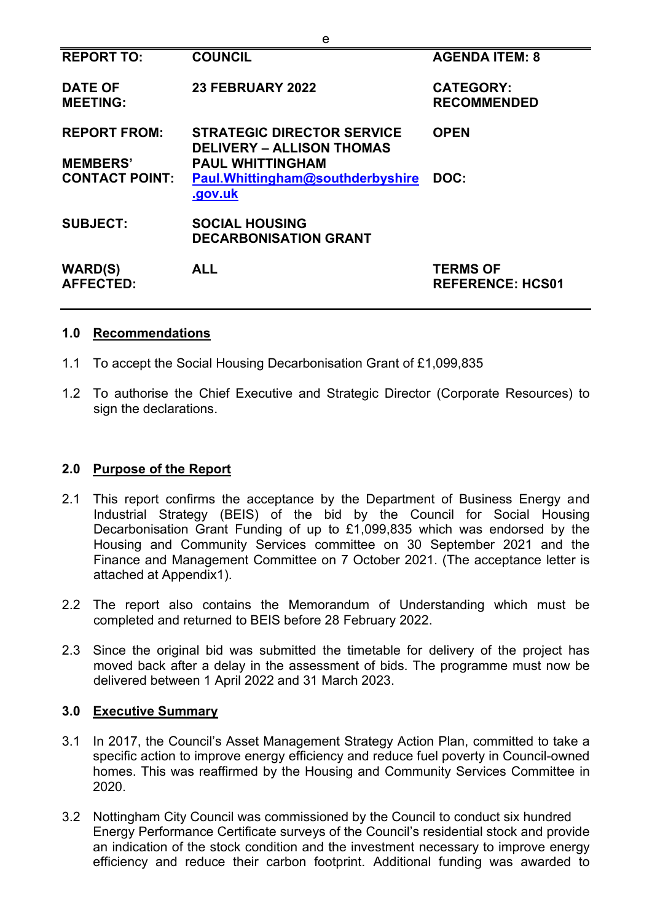| <b>REPORT TO:</b>                  | <b>COUNCIL</b>                                                        | <b>AGENDA ITEM: 8</b>                      |
|------------------------------------|-----------------------------------------------------------------------|--------------------------------------------|
| <b>DATE OF</b><br><b>MEETING:</b>  | 23 FEBRUARY 2022                                                      | <b>CATEGORY:</b><br><b>RECOMMENDED</b>     |
| <b>REPORT FROM:</b>                | <b>STRATEGIC DIRECTOR SERVICE</b><br><b>DELIVERY - ALLISON THOMAS</b> | <b>OPEN</b>                                |
| <b>MEMBERS'</b>                    | <b>PAUL WHITTINGHAM</b>                                               |                                            |
| <b>CONTACT POINT:</b>              | Paul. Whitting ham@southderbyshire<br>.gov.uk                         | DOC:                                       |
| <b>SUBJECT:</b>                    | <b>SOCIAL HOUSING</b><br><b>DECARBONISATION GRANT</b>                 |                                            |
| <b>WARD(S)</b><br><b>AFFECTED:</b> | <b>ALL</b>                                                            | <b>TERMS OF</b><br><b>REFERENCE: HCS01</b> |

e

#### **1.0 Recommendations**

- 1.1 To accept the Social Housing Decarbonisation Grant of £1,099,835
- 1.2 To authorise the Chief Executive and Strategic Director (Corporate Resources) to sign the declarations.

#### **2.0 Purpose of the Report**

- 2.1 This report confirms the acceptance by the Department of Business Energy and Industrial Strategy (BEIS) of the bid by the Council for Social Housing Decarbonisation Grant Funding of up to £1,099,835 which was endorsed by the Housing and Community Services committee on 30 September 2021 and the Finance and Management Committee on 7 October 2021. (The acceptance letter is attached at Appendix1).
- 2.2 The report also contains the Memorandum of Understanding which must be completed and returned to BEIS before 28 February 2022.
- 2.3 Since the original bid was submitted the timetable for delivery of the project has moved back after a delay in the assessment of bids. The programme must now be delivered between 1 April 2022 and 31 March 2023.

#### **3.0 Executive Summary**

- 3.1 In 2017, the Council's Asset Management Strategy Action Plan, committed to take a specific action to improve energy efficiency and reduce fuel poverty in Council-owned homes. This was reaffirmed by the Housing and Community Services Committee in 2020.
- 3.2 Nottingham City Council was commissioned by the Council to conduct six hundred Energy Performance Certificate surveys of the Council's residential stock and provide an indication of the stock condition and the investment necessary to improve energy efficiency and reduce their carbon footprint. Additional funding was awarded to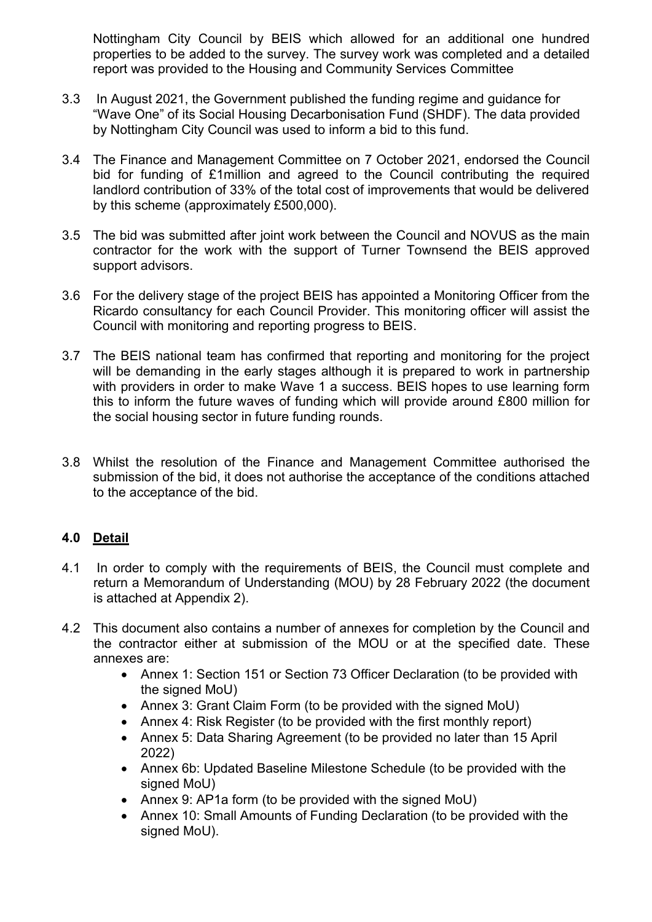Nottingham City Council by BEIS which allowed for an additional one hundred properties to be added to the survey. The survey work was completed and a detailed report was provided to the Housing and Community Services Committee

- 3.3 In August 2021, the Government published the funding regime and guidance for "Wave One" of its Social Housing Decarbonisation Fund (SHDF). The data provided by Nottingham City Council was used to inform a bid to this fund.
- 3.4 The Finance and Management Committee on 7 October 2021, endorsed the Council bid for funding of £1million and agreed to the Council contributing the required landlord contribution of 33% of the total cost of improvements that would be delivered by this scheme (approximately £500,000).
- 3.5 The bid was submitted after joint work between the Council and NOVUS as the main contractor for the work with the support of Turner Townsend the BEIS approved support advisors.
- 3.6 For the delivery stage of the project BEIS has appointed a Monitoring Officer from the Ricardo consultancy for each Council Provider. This monitoring officer will assist the Council with monitoring and reporting progress to BEIS.
- 3.7 The BEIS national team has confirmed that reporting and monitoring for the project will be demanding in the early stages although it is prepared to work in partnership with providers in order to make Wave 1 a success. BEIS hopes to use learning form this to inform the future waves of funding which will provide around £800 million for the social housing sector in future funding rounds.
- 3.8 Whilst the resolution of the Finance and Management Committee authorised the submission of the bid, it does not authorise the acceptance of the conditions attached to the acceptance of the bid.

## **4.0 Detail**

- 4.1 In order to comply with the requirements of BEIS, the Council must complete and return a Memorandum of Understanding (MOU) by 28 February 2022 (the document is attached at Appendix 2).
- 4.2 This document also contains a number of annexes for completion by the Council and the contractor either at submission of the MOU or at the specified date. These annexes are:
	- Annex 1: Section 151 or Section 73 Officer Declaration (to be provided with the signed MoU)
	- Annex 3: Grant Claim Form (to be provided with the signed MoU)
	- Annex 4: Risk Register (to be provided with the first monthly report)
	- Annex 5: Data Sharing Agreement (to be provided no later than 15 April 2022)
	- Annex 6b: Updated Baseline Milestone Schedule (to be provided with the signed MoU)
	- Annex 9: AP1a form (to be provided with the signed MoU)
	- Annex 10: Small Amounts of Funding Declaration (to be provided with the signed MoU).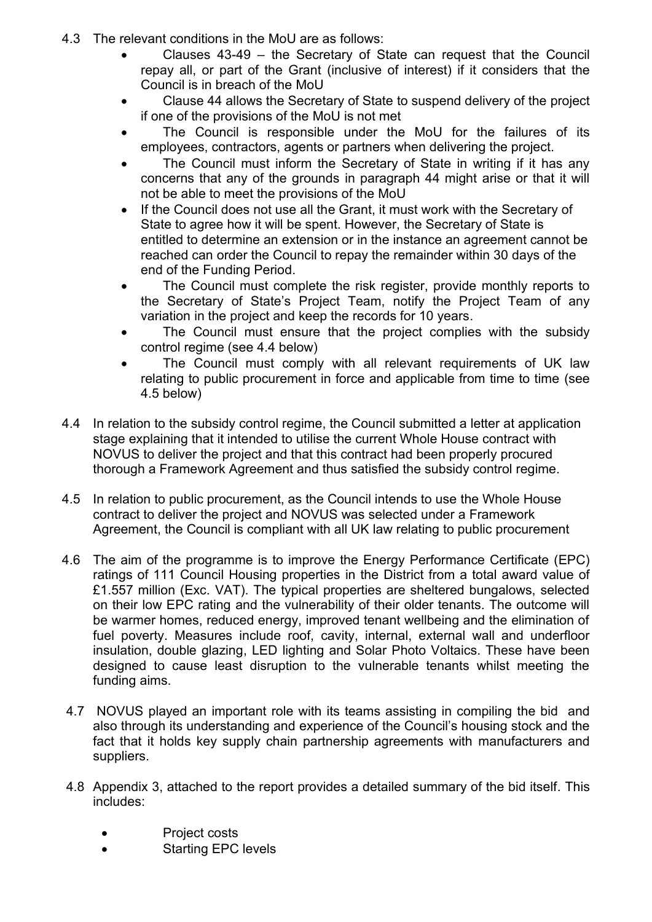- 4.3 The relevant conditions in the MoU are as follows:
	- Clauses 43-49 the Secretary of State can request that the Council repay all, or part of the Grant (inclusive of interest) if it considers that the Council is in breach of the MoU
	- Clause 44 allows the Secretary of State to suspend delivery of the project if one of the provisions of the MoU is not met
	- The Council is responsible under the MoU for the failures of its employees, contractors, agents or partners when delivering the project.
	- The Council must inform the Secretary of State in writing if it has any concerns that any of the grounds in paragraph 44 might arise or that it will not be able to meet the provisions of the MoU
	- If the Council does not use all the Grant, it must work with the Secretary of State to agree how it will be spent. However, the Secretary of State is entitled to determine an extension or in the instance an agreement cannot be reached can order the Council to repay the remainder within 30 days of the end of the Funding Period.
	- The Council must complete the risk register, provide monthly reports to the Secretary of State's Project Team, notify the Project Team of any variation in the project and keep the records for 10 years.
	- The Council must ensure that the project complies with the subsidy control regime (see 4.4 below)
	- The Council must comply with all relevant requirements of UK law relating to public procurement in force and applicable from time to time (see 4.5 below)
- 4.4 In relation to the subsidy control regime, the Council submitted a letter at application stage explaining that it intended to utilise the current Whole House contract with NOVUS to deliver the project and that this contract had been properly procured thorough a Framework Agreement and thus satisfied the subsidy control regime.
- 4.5 In relation to public procurement, as the Council intends to use the Whole House contract to deliver the project and NOVUS was selected under a Framework Agreement, the Council is compliant with all UK law relating to public procurement
- 4.6 The aim of the programme is to improve the Energy Performance Certificate (EPC) ratings of 111 Council Housing properties in the District from a total award value of £1.557 million (Exc. VAT). The typical properties are sheltered bungalows, selected on their low EPC rating and the vulnerability of their older tenants. The outcome will be warmer homes, reduced energy, improved tenant wellbeing and the elimination of fuel poverty. Measures include roof, cavity, internal, external wall and underfloor insulation, double glazing, LED lighting and Solar Photo Voltaics. These have been designed to cause least disruption to the vulnerable tenants whilst meeting the funding aims.
- 4.7 NOVUS played an important role with its teams assisting in compiling the bid and also through its understanding and experience of the Council's housing stock and the fact that it holds key supply chain partnership agreements with manufacturers and suppliers.
- 4.8 Appendix 3, attached to the report provides a detailed summary of the bid itself. This includes:
	- Project costs
	- **Starting EPC levels**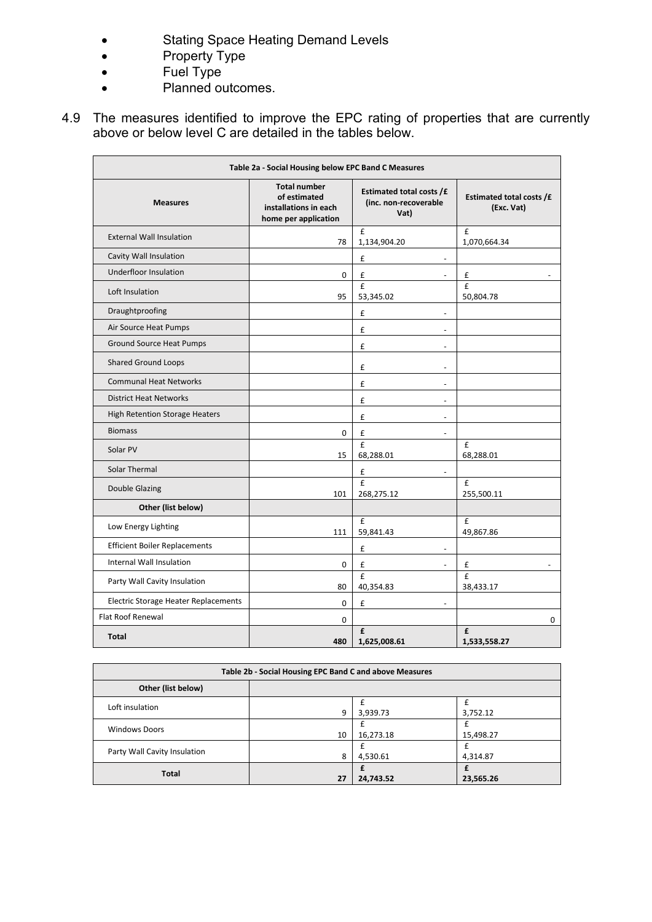- Stating Space Heating Demand Levels
- Property Type
- Fuel Type
- Planned outcomes.
- 4.9 The measures identified to improve the EPC rating of properties that are currently above or below level C are detailed in the tables below.

| Table 2a - Social Housing below EPC Band C Measures |                                                                                      |                                                           |                                        |  |  |
|-----------------------------------------------------|--------------------------------------------------------------------------------------|-----------------------------------------------------------|----------------------------------------|--|--|
| <b>Measures</b>                                     | <b>Total number</b><br>of estimated<br>installations in each<br>home per application | Estimated total costs /£<br>(inc. non-recoverable<br>Vat) | Estimated total costs /£<br>(Exc. Vat) |  |  |
| <b>External Wall Insulation</b>                     | 78                                                                                   | £<br>1,134,904.20                                         | £<br>1,070,664.34                      |  |  |
| Cavity Wall Insulation                              |                                                                                      | £<br>$\overline{a}$                                       |                                        |  |  |
| Underfloor Insulation                               | 0                                                                                    | £                                                         | £                                      |  |  |
| Loft Insulation                                     | 95                                                                                   | £<br>53,345.02                                            | £<br>50,804.78                         |  |  |
| Draughtproofing                                     |                                                                                      | £<br>$\blacksquare$                                       |                                        |  |  |
| Air Source Heat Pumps                               |                                                                                      | £<br>$\overline{a}$                                       |                                        |  |  |
| <b>Ground Source Heat Pumps</b>                     |                                                                                      | £<br>$\overline{a}$                                       |                                        |  |  |
| <b>Shared Ground Loops</b>                          |                                                                                      | £<br>$\overline{a}$                                       |                                        |  |  |
| <b>Communal Heat Networks</b>                       |                                                                                      | £<br>$\overline{a}$                                       |                                        |  |  |
| <b>District Heat Networks</b>                       |                                                                                      | £<br>$\overline{a}$                                       |                                        |  |  |
| High Retention Storage Heaters                      |                                                                                      | £<br>$\overline{\phantom{a}}$                             |                                        |  |  |
| <b>Biomass</b>                                      | 0                                                                                    | £<br>$\overline{\phantom{a}}$                             |                                        |  |  |
| Solar PV                                            | 15                                                                                   | £<br>68,288.01                                            | $\mathbf{f}$<br>68,288.01              |  |  |
| Solar Thermal                                       |                                                                                      | £<br>$\blacksquare$                                       |                                        |  |  |
| <b>Double Glazing</b>                               | 101                                                                                  | £<br>268,275.12                                           | £<br>255,500.11                        |  |  |
| Other (list below)                                  |                                                                                      |                                                           |                                        |  |  |
| Low Energy Lighting                                 | 111                                                                                  | £<br>59,841.43                                            | £<br>49,867.86                         |  |  |
| <b>Efficient Boiler Replacements</b>                |                                                                                      | £<br>$\overline{a}$                                       |                                        |  |  |
| Internal Wall Insulation                            | 0                                                                                    | £<br>L,                                                   | £                                      |  |  |
| Party Wall Cavity Insulation                        | 80                                                                                   | £<br>40,354.83                                            | $\mathbf{f}$<br>38,433.17              |  |  |
| Electric Storage Heater Replacements                | 0                                                                                    | £<br>$\overline{a}$                                       |                                        |  |  |
| <b>Flat Roof Renewal</b>                            | 0                                                                                    |                                                           | 0                                      |  |  |
| <b>Total</b>                                        | 480                                                                                  | f<br>1,625,008.61                                         | $\mathbf{f}$<br>1,533,558.27           |  |  |

| Table 2b - Social Housing EPC Band C and above Measures |    |           |           |  |  |  |
|---------------------------------------------------------|----|-----------|-----------|--|--|--|
| Other (list below)                                      |    |           |           |  |  |  |
| Loft insulation                                         | 9  | 3,939.73  | 3,752.12  |  |  |  |
| <b>Windows Doors</b>                                    | 10 | 16,273.18 | 15,498.27 |  |  |  |
| Party Wall Cavity Insulation                            | 8  | 4,530.61  | 4,314.87  |  |  |  |
| <b>Total</b>                                            | 27 | 24,743.52 | 23,565.26 |  |  |  |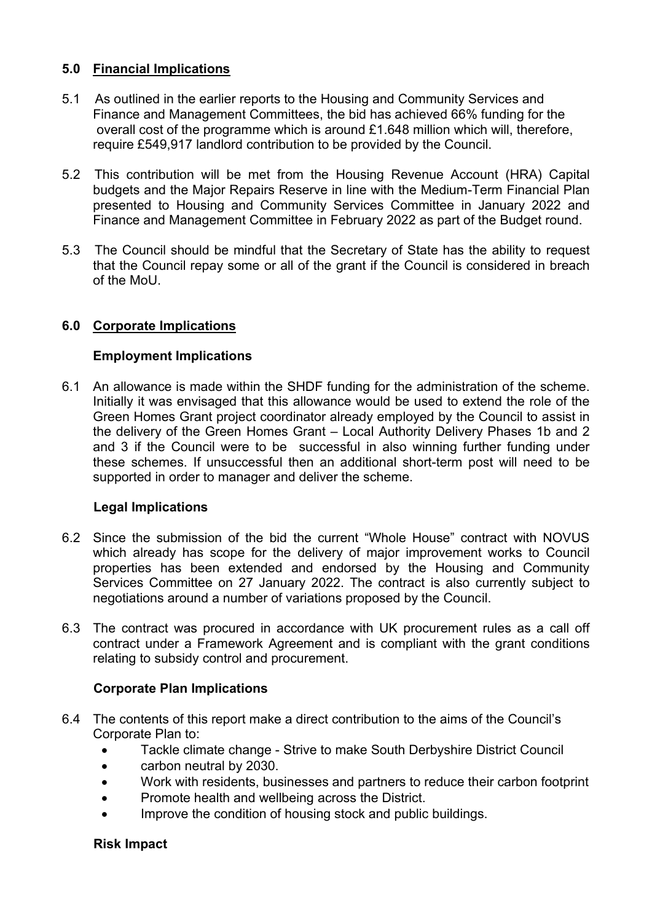## **5.0 Financial Implications**

- 5.1 As outlined in the earlier reports to the Housing and Community Services and Finance and Management Committees, the bid has achieved 66% funding for the overall cost of the programme which is around £1.648 million which will, therefore, require £549,917 landlord contribution to be provided by the Council.
- 5.2 This contribution will be met from the Housing Revenue Account (HRA) Capital budgets and the Major Repairs Reserve in line with the Medium-Term Financial Plan presented to Housing and Community Services Committee in January 2022 and Finance and Management Committee in February 2022 as part of the Budget round.
- 5.3 The Council should be mindful that the Secretary of State has the ability to request that the Council repay some or all of the grant if the Council is considered in breach of the MoU.

## **6.0 Corporate Implications**

#### **Employment Implications**

6.1 An allowance is made within the SHDF funding for the administration of the scheme. Initially it was envisaged that this allowance would be used to extend the role of the Green Homes Grant project coordinator already employed by the Council to assist in the delivery of the Green Homes Grant – Local Authority Delivery Phases 1b and 2 and 3 if the Council were to be successful in also winning further funding under these schemes. If unsuccessful then an additional short-term post will need to be supported in order to manager and deliver the scheme.

#### **Legal Implications**

- 6.2 Since the submission of the bid the current "Whole House" contract with NOVUS which already has scope for the delivery of major improvement works to Council properties has been extended and endorsed by the Housing and Community Services Committee on 27 January 2022. The contract is also currently subject to negotiations around a number of variations proposed by the Council.
- 6.3 The contract was procured in accordance with UK procurement rules as a call off contract under a Framework Agreement and is compliant with the grant conditions relating to subsidy control and procurement.

#### **Corporate Plan Implications**

- 6.4 The contents of this report make a direct contribution to the aims of the Council's Corporate Plan to:
	- Tackle climate change Strive to make South Derbyshire District Council
	- carbon neutral by 2030.
	- Work with residents, businesses and partners to reduce their carbon footprint
	- Promote health and wellbeing across the District.
	- Improve the condition of housing stock and public buildings.

#### **Risk Impact**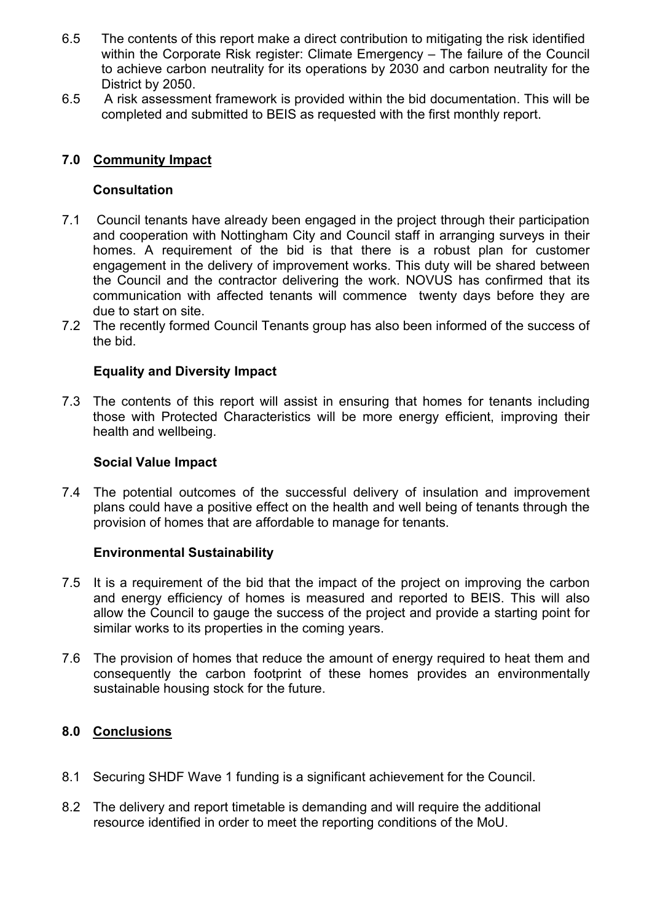- 6.5 The contents of this report make a direct contribution to mitigating the risk identified within the Corporate Risk register: Climate Emergency – The failure of the Council to achieve carbon neutrality for its operations by 2030 and carbon neutrality for the District by 2050.
- 6.5 A risk assessment framework is provided within the bid documentation. This will be completed and submitted to BEIS as requested with the first monthly report.

# **7.0 Community Impact**

## **Consultation**

- 7.1 Council tenants have already been engaged in the project through their participation and cooperation with Nottingham City and Council staff in arranging surveys in their homes. A requirement of the bid is that there is a robust plan for customer engagement in the delivery of improvement works. This duty will be shared between the Council and the contractor delivering the work. NOVUS has confirmed that its communication with affected tenants will commence twenty days before they are due to start on site.
- 7.2 The recently formed Council Tenants group has also been informed of the success of the bid.

## **Equality and Diversity Impact**

7.3 The contents of this report will assist in ensuring that homes for tenants including those with Protected Characteristics will be more energy efficient, improving their health and wellbeing.

#### **Social Value Impact**

7.4 The potential outcomes of the successful delivery of insulation and improvement plans could have a positive effect on the health and well being of tenants through the provision of homes that are affordable to manage for tenants.

#### **Environmental Sustainability**

- 7.5 It is a requirement of the bid that the impact of the project on improving the carbon and energy efficiency of homes is measured and reported to BEIS. This will also allow the Council to gauge the success of the project and provide a starting point for similar works to its properties in the coming years.
- 7.6 The provision of homes that reduce the amount of energy required to heat them and consequently the carbon footprint of these homes provides an environmentally sustainable housing stock for the future.

#### **8.0 Conclusions**

- 8.1 Securing SHDF Wave 1 funding is a significant achievement for the Council.
- 8.2 The delivery and report timetable is demanding and will require the additional resource identified in order to meet the reporting conditions of the MoU.